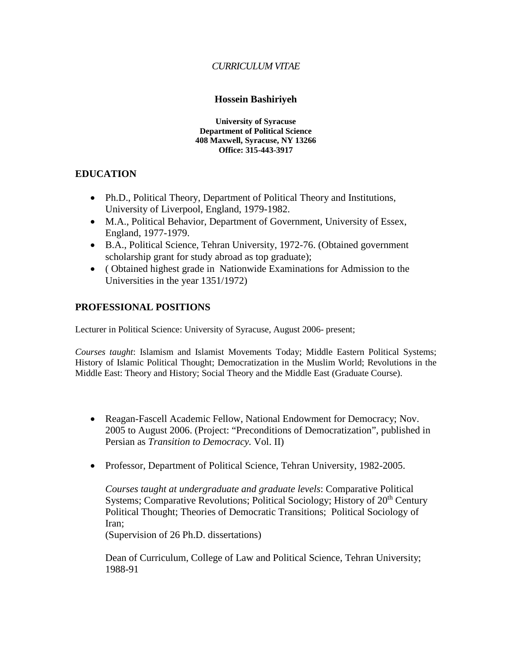# *CURRICULUM VITAE*

## **Hossein Bashiriyeh**

**University of Syracuse Department of Political Science 408 Maxwell, Syracuse, NY 13266 Office: 315-443-3917**

# **EDUCATION**

- Ph.D., Political Theory, Department of Political Theory and Institutions, University of Liverpool, England, 1979-1982.
- M.A., Political Behavior, Department of Government, University of Essex, England, 1977-1979.
- B.A., Political Science, Tehran University, 1972-76. (Obtained government scholarship grant for study abroad as top graduate);
- ( Obtained highest grade in Nationwide Examinations for Admission to the Universities in the year 1351/1972)

## **PROFESSIONAL POSITIONS**

Lecturer in Political Science: University of Syracuse, August 2006- present;

*Courses taught*: Islamism and Islamist Movements Today; Middle Eastern Political Systems; History of Islamic Political Thought; Democratization in the Muslim World; Revolutions in the Middle East: Theory and History; Social Theory and the Middle East (Graduate Course).

- Reagan-Fascell Academic Fellow, National Endowment for Democracy; Nov. 2005 to August 2006. (Project: "Preconditions of Democratization", published in Persian as *Transition to Democracy.* Vol. II)
- Professor, Department of Political Science, Tehran University, 1982-2005.

*Courses taught at undergraduate and graduate levels*: Comparative Political Systems; Comparative Revolutions; Political Sociology; History of 20<sup>th</sup> Century Political Thought; Theories of Democratic Transitions; Political Sociology of Iran;

(Supervision of 26 Ph.D. dissertations)

Dean of Curriculum, College of Law and Political Science, Tehran University; 1988-91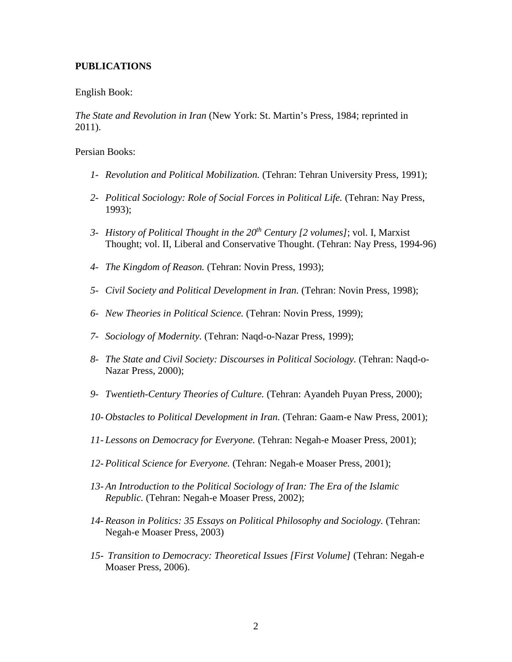## **PUBLICATIONS**

#### English Book:

*The State and Revolution in Iran* (New York: St. Martin's Press, 1984; reprinted in 2011).

#### Persian Books:

- *1- Revolution and Political Mobilization.* (Tehran: Tehran University Press, 1991);
- *2- Political Sociology: Role of Social Forces in Political Life.* (Tehran: Nay Press, 1993);
- *3- History of Political Thought in the 20th Century [2 volumes]*; vol. I, Marxist Thought; vol. II, Liberal and Conservative Thought. (Tehran: Nay Press, 1994-96)
- *4- The Kingdom of Reason.* (Tehran: Novin Press, 1993);
- *5- Civil Society and Political Development in Iran.* (Tehran: Novin Press, 1998);
- *6- New Theories in Political Science.* (Tehran: Novin Press, 1999);
- *7- Sociology of Modernity.* (Tehran: Naqd-o-Nazar Press, 1999);
- *8- The State and Civil Society: Discourses in Political Sociology.* (Tehran: Naqd-o-Nazar Press, 2000);
- *9- Twentieth-Century Theories of Culture.* (Tehran: Ayandeh Puyan Press, 2000);
- *10- Obstacles to Political Development in Iran.* (Tehran: Gaam-e Naw Press, 2001);
- *11- Lessons on Democracy for Everyone.* (Tehran: Negah-e Moaser Press, 2001);
- *12- Political Science for Everyone.* (Tehran: Negah-e Moaser Press, 2001);
- *13- An Introduction to the Political Sociology of Iran: The Era of the Islamic Republic.* (Tehran: Negah-e Moaser Press, 2002);
- *14- Reason in Politics: 35 Essays on Political Philosophy and Sociology.* (Tehran: Negah-e Moaser Press, 2003)
- *15- Transition to Democracy: Theoretical Issues [First Volume]* (Tehran: Negah-e Moaser Press, 2006).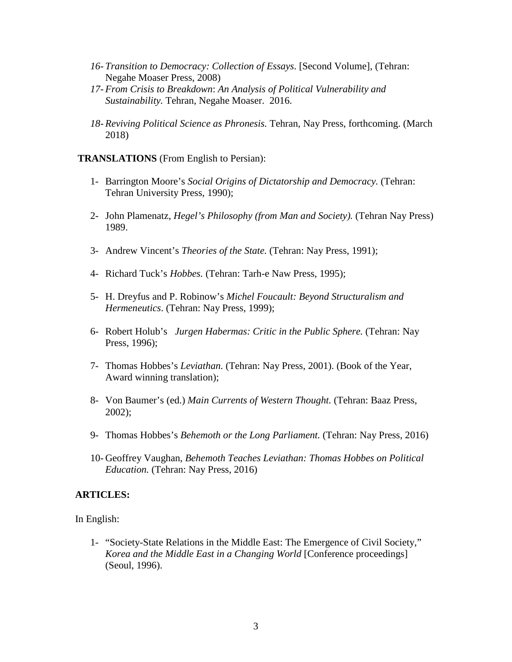- *16- Transition to Democracy: Collection of Essays*. [Second Volume], (Tehran: Negahe Moaser Press, 2008)
- *17- From Crisis to Breakdown*: *An Analysis of Political Vulnerability and Sustainability.* Tehran, Negahe Moaser. 2016.
- *18- Reviving Political Science as Phronesis.* Tehran, Nay Press, forthcoming. (March 2018)

#### **TRANSLATIONS** (From English to Persian):

- 1- Barrington Moore's *Social Origins of Dictatorship and Democracy.* (Tehran: Tehran University Press, 1990);
- 2- John Plamenatz, *Hegel's Philosophy (from Man and Society).* (Tehran Nay Press) 1989.
- 3- Andrew Vincent's *Theories of the State.* (Tehran: Nay Press, 1991);
- 4- Richard Tuck's *Hobbes.* (Tehran: Tarh-e Naw Press, 1995);
- 5- H. Dreyfus and P. Robinow's *Michel Foucault: Beyond Structuralism and Hermeneutics*. (Tehran: Nay Press, 1999);
- 6- Robert Holub's *Jurgen Habermas: Critic in the Public Sphere.* (Tehran: Nay Press, 1996);
- 7- Thomas Hobbes's *Leviathan.* (Tehran: Nay Press, 2001). (Book of the Year, Award winning translation);
- 8- Von Baumer's (ed.) *Main Currents of Western Thought.* (Tehran: Baaz Press, 2002);
- 9- Thomas Hobbes's *Behemoth or the Long Parliament.* (Tehran: Nay Press, 2016)
- 10- Geoffrey Vaughan, *Behemoth Teaches Leviathan: Thomas Hobbes on Political Education.* (Tehran: Nay Press, 2016)

#### **ARTICLES:**

In English:

1- "Society-State Relations in the Middle East: The Emergence of Civil Society," *Korea and the Middle East in a Changing World* [Conference proceedings] (Seoul, 1996).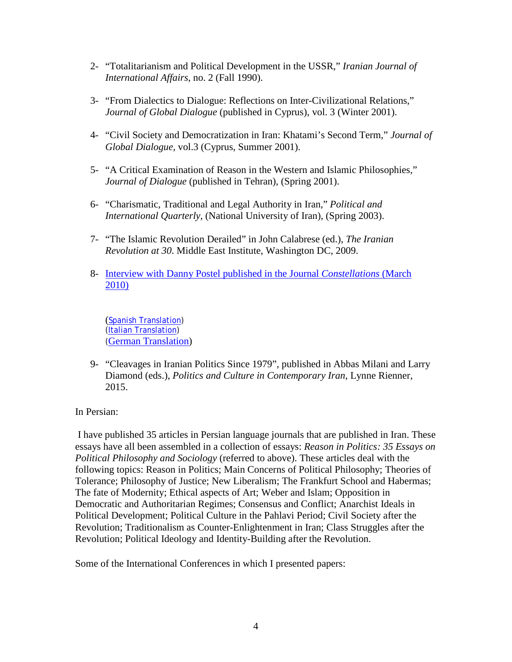- 2- "Totalitarianism and Political Development in the USSR," *Iranian Journal of International Affairs*, no. 2 (Fall 1990).
- 3- "From Dialectics to Dialogue: Reflections on Inter-Civilizational Relations," *Journal of Global Dialogue* (published in Cyprus), vol. 3 (Winter 2001).
- 4- "Civil Society and Democratization in Iran: Khatami's Second Term," *Journal of Global Dialogue*, vol.3 (Cyprus, Summer 2001).
- 5- "A Critical Examination of Reason in the Western and Islamic Philosophies," *Journal of Dialogue* (published in Tehran), (Spring 2001).
- 6- "Charismatic, Traditional and Legal Authority in Iran," *Political and International Quarterly,* (National University of Iran), (Spring 2003).
- 7- "The Islamic Revolution Derailed" in John Calabrese (ed.), *The Iranian Revolution at 30*. Middle East Institute, Washington DC, 2009.
- 8- [Interview with Danny Postel](http://eoffprint.aptaracorp.com/cgi-bin/offal?aid=24712iX3454sVwO4657DM) published in the Journal *Constellations* (March [2010\)](http://eoffprint.aptaracorp.com/cgi-bin/offal?aid=24712iX3454sVwO4657DM)

([Spanish Translation\)](https://exchange.syr.edu/owa/redir.aspx?C=008aa3607cdb4d9da3668419e9864c68&URL=http%3a%2f%2fwww.letraslibres.com%2findex.php%3fart%3d14108) [\(Italian Translation\)](http://www.resetdoc.org/story/00000021095) ([German Translation\)](http://www.lettre.de/aktuell.html)

9- "Cleavages in Iranian Politics Since 1979", published in Abbas Milani and Larry Diamond (eds.), *Politics and Culture in Contemporary Iran*, Lynne Rienner, 2015.

In Persian:

I have published 35 articles in Persian language journals that are published in Iran. These essays have all been assembled in a collection of essays: *Reason in Politics: 35 Essays on Political Philosophy and Sociology* (referred to above). These articles deal with the following topics: Reason in Politics; Main Concerns of Political Philosophy; Theories of Tolerance; Philosophy of Justice; New Liberalism; The Frankfurt School and Habermas; The fate of Modernity; Ethical aspects of Art; Weber and Islam; Opposition in Democratic and Authoritarian Regimes; Consensus and Conflict; Anarchist Ideals in Political Development; Political Culture in the Pahlavi Period; Civil Society after the Revolution; Traditionalism as Counter-Enlightenment in Iran; Class Struggles after the Revolution; Political Ideology and Identity-Building after the Revolution.

Some of the International Conferences in which I presented papers: